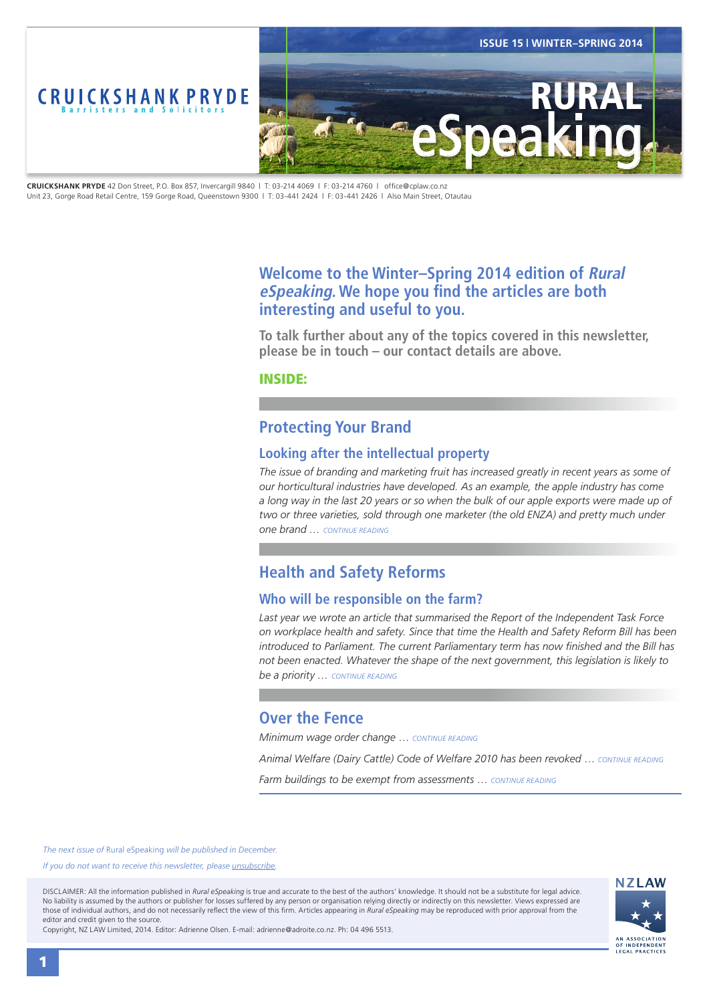<span id="page-0-0"></span>

**CRUICKSHANK PRYDE** 42 Don Street, P.O. Box 857, Invercargill 9840 | T: 03-214 4069 | F: 03-214 4760 | office@cplaw.co.nz Unit 23, Gorge Road Retail Centre, 159 Gorge Road, Queenstown 9300 | T: 03-441 2424 | F: 03-441 2426 | Also Main Street, Otautau

## **Welcome to the Winter–Spring 2014 edition of Rural eSpeaking. We hope you find the articles are both interesting and useful to you.**

**To talk further about any of the topics covered in this newsletter, please be in touch – our contact details are above.**

INSIDE:

## **Protecting Your Brand**

### **Looking after the intellectual property**

The issue of branding and marketing fruit has increased greatly in recent years as some of *our horticultural industries have developed. As an example, the apple industry has come a long way in the last 20 years or so when the bulk of our apple exports were made up of*  two or three varieties, sold through one marketer (the old ENZA) and pretty much under *one brand … [CONTINUE READING](#page-1-0)*

# **Health and Safety Reforms**

### **Who will be responsible on the farm?**

*Last year we wrote an article that summarised the Report of the Independent Task Force on workplace health and safety. Since that time the Health and Safety Reform Bill has been introduced to Parliament. The current Parliamentary term has now finished and the Bill has not been enacted. Whatever the shape of the next government, this legislation is likely to be a priority … [CONTINUE READING](#page-2-0)*

## **Over the Fence**

*Minimum wage order change* … *[CONTINUE READING](#page-3-0)*

*Animal Welfare (Dairy Cattle) Code of Welfare 2010 has been revoked* … *[CONTINUE READING](#page-3-0)*

*Farm buildings to be exempt from assessments* … *[CONTINUE READING](#page-3-0)*

*The next issue of* Rural eSpeaking *will be published in December.*

*If you do not want to receive this newsletter, please <i>unsubscribe*.

DISCLAIMER: All the information published in *Rural eSpeaking* is true and accurate to the best of the authors' knowledge. It should not be a substitute for legal advice. No liability is assumed by the authors or publisher for losses suffered by any person or organisation relying directly or indirectly on this newsletter. Views expressed are those of individual authors, and do not necessarily reflect the view of this firm. Articles appearing in *Rural eSpeaking* may be reproduced with prior approval from the editor and credit given to the source.

Copyright, NZ LAW Limited, 2014. Editor: Adrienne Olsen. [E-mail: adrienne@adroite.co.nz](mailto:adrienne@adroite.co.nz). Ph: 04 496 5513.

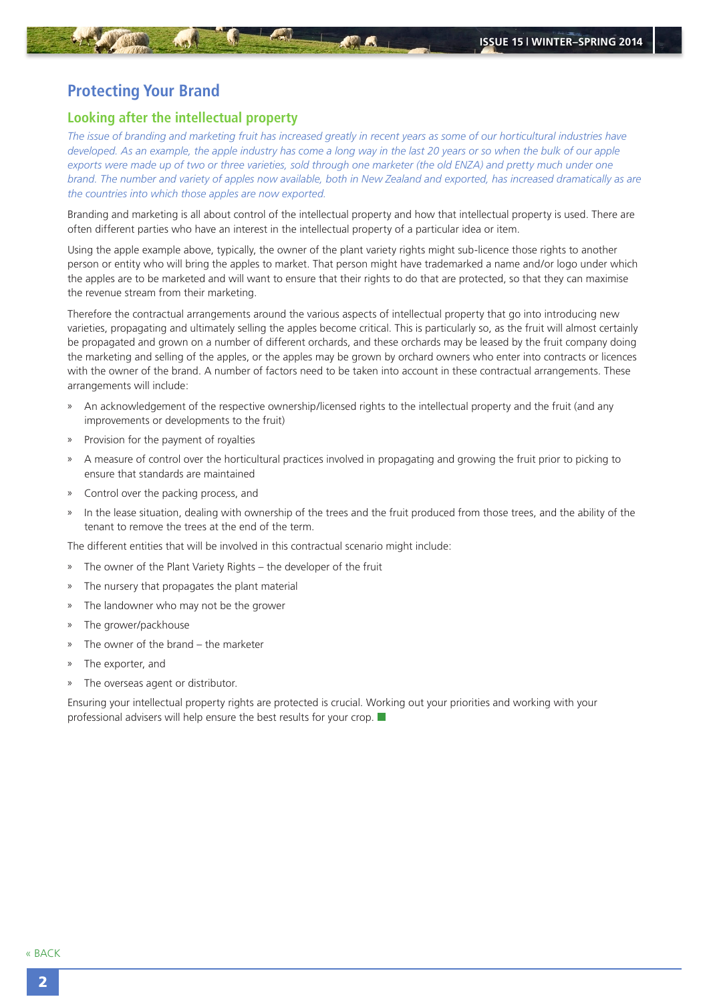## <span id="page-1-0"></span>**Protecting Your Brand**

#### **Looking after the intellectual property**

*The issue of branding and marketing fruit has increased greatly in recent years as some of our horticultural industries have developed. As an example, the apple industry has come a long way in the last 20 years or so when the bulk of our apple* exports were made up of two or three varieties, sold through one marketer (the old ENZA) and pretty much under one *brand. The number and variety of apples now available, both in New Zealand and exported, has increased dramatically as are the countries into which those apples are now exported.*

Branding and marketing is all about control of the intellectual property and how that intellectual property is used. There are often different parties who have an interest in the intellectual property of a particular idea or item.

Using the apple example above, typically, the owner of the plant variety rights might sub-licence those rights to another person or entity who will bring the apples to market. That person might have trademarked a name and/or logo under which the apples are to be marketed and will want to ensure that their rights to do that are protected, so that they can maximise the revenue stream from their marketing.

Therefore the contractual arrangements around the various aspects of intellectual property that go into introducing new varieties, propagating and ultimately selling the apples become critical. This is particularly so, as the fruit will almost certainly be propagated and grown on a number of different orchards, and these orchards may be leased by the fruit company doing the marketing and selling of the apples, or the apples may be grown by orchard owners who enter into contracts or licences with the owner of the brand. A number of factors need to be taken into account in these contractual arrangements. These arrangements will include:

- » An acknowledgement of the respective ownership/licensed rights to the intellectual property and the fruit (and any improvements or developments to the fruit)
- » Provision for the payment of royalties
- » A measure of control over the horticultural practices involved in propagating and growing the fruit prior to picking to ensure that standards are maintained
- » Control over the packing process, and
- In the lease situation, dealing with ownership of the trees and the fruit produced from those trees, and the ability of the tenant to remove the trees at the end of the term.

The different entities that will be involved in this contractual scenario might include:

- » The owner of the Plant Variety Rights the developer of the fruit
- » The nursery that propagates the plant material
- » The landowner who may not be the grower
- » The grower/packhouse
- The owner of the brand the marketer
- » The exporter, and
- » The overseas agent or distributor.

Ensuring your intellectual property rights are protected is crucial. Working out your priorities and working with your professional advisers will help ensure the best results for your crop.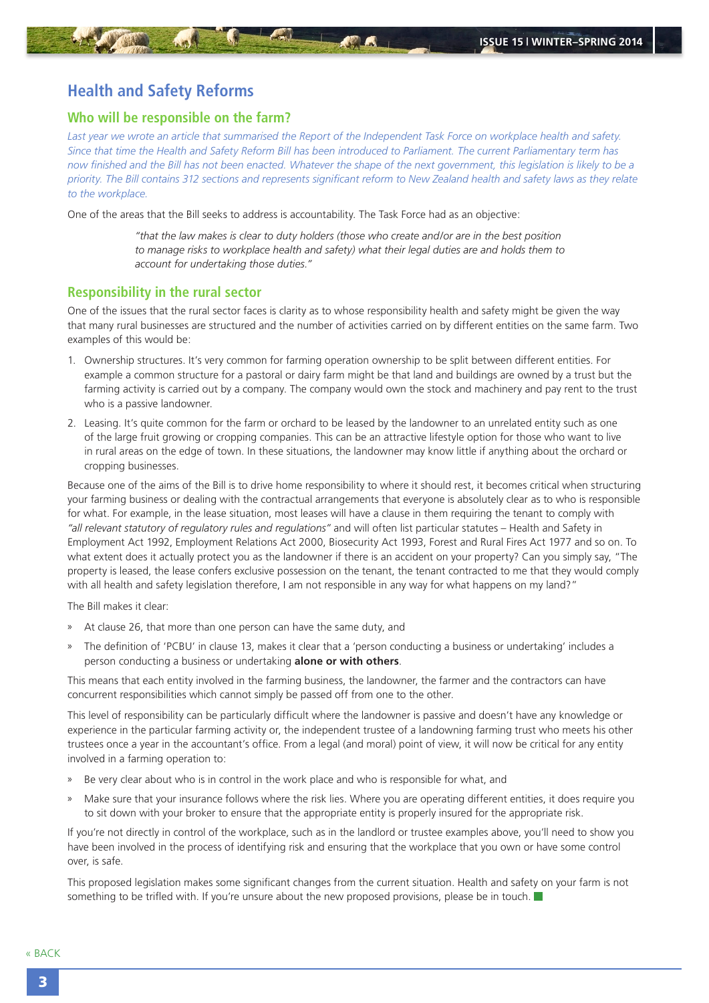### <span id="page-2-0"></span>**Health and Safety Reforms**

#### **Who will be responsible on the farm?**

*Last year we wrote an article that summarised the Report of the Independent Task Force on workplace health and safety. Since that time the Health and Safety Reform Bill has been introduced to Parliament. The current Parliamentary term has now finished and the Bill has not been enacted. Whatever the shape of the next government, this legislation is likely to be a priority. The Bill contains 312 sections and represents significant reform to New Zealand health and safety laws as they relate to the workplace.*

One of the areas that the Bill seeks to address is accountability. The Task Force had as an objective:

*"that the law makes is clear to duty holders (those who create and/or are in the best position to manage risks to workplace health and safety) what their legal duties are and holds them to account for undertaking those duties."*

#### **Responsibility in the rural sector**

One of the issues that the rural sector faces is clarity as to whose responsibility health and safety might be given the way that many rural businesses are structured and the number of activities carried on by different entities on the same farm. Two examples of this would be:

- 1. Ownership structures. It's very common for farming operation ownership to be split between different entities. For example a common structure for a pastoral or dairy farm might be that land and buildings are owned by a trust but the farming activity is carried out by a company. The company would own the stock and machinery and pay rent to the trust who is a passive landowner.
- 2. Leasing. It's quite common for the farm or orchard to be leased by the landowner to an unrelated entity such as one of the large fruit growing or cropping companies. This can be an attractive lifestyle option for those who want to live in rural areas on the edge of town. In these situations, the landowner may know little if anything about the orchard or cropping businesses.

Because one of the aims of the Bill is to drive home responsibility to where it should rest, it becomes critical when structuring your farming business or dealing with the contractual arrangements that everyone is absolutely clear as to who is responsible for what. For example, in the lease situation, most leases will have a clause in them requiring the tenant to comply with *"all relevant statutory of regulatory rules and regulations"* and will often list particular statutes – Health and Safety in Employment Act 1992, Employment Relations Act 2000, Biosecurity Act 1993, Forest and Rural Fires Act 1977 and so on. To what extent does it actually protect you as the landowner if there is an accident on your property? Can you simply say, "The property is leased, the lease confers exclusive possession on the tenant, the tenant contracted to me that they would comply with all health and safety legislation therefore. I am not responsible in any way for what happens on my land?"

The Bill makes it clear:

- » At clause 26, that more than one person can have the same duty, and
- » The definition of 'PCBU' in clause 13, makes it clear that a 'person conducting a business or undertaking' includes a person conducting a business or undertaking **alone or with others**.

This means that each entity involved in the farming business, the landowner, the farmer and the contractors can have concurrent responsibilities which cannot simply be passed off from one to the other.

This level of responsibility can be particularly difficult where the landowner is passive and doesn't have any knowledge or experience in the particular farming activity or, the independent trustee of a landowning farming trust who meets his other trustees once a year in the accountant's office. From a legal (and moral) point of view, it will now be critical for any entity involved in a farming operation to:

- Be very clear about who is in control in the work place and who is responsible for what, and
- » Make sure that your insurance follows where the risk lies. Where you are operating different entities, it does require you to sit down with your broker to ensure that the appropriate entity is properly insured for the appropriate risk.

If you're not directly in control of the workplace, such as in the landlord or trustee examples above, you'll need to show you have been involved in the process of identifying risk and ensuring that the workplace that you own or have some control over, is safe.

This proposed legislation makes some significant changes from the current situation. Health and safety on your farm is not something to be trifled with. If you're unsure about the new proposed provisions, please be in touch.